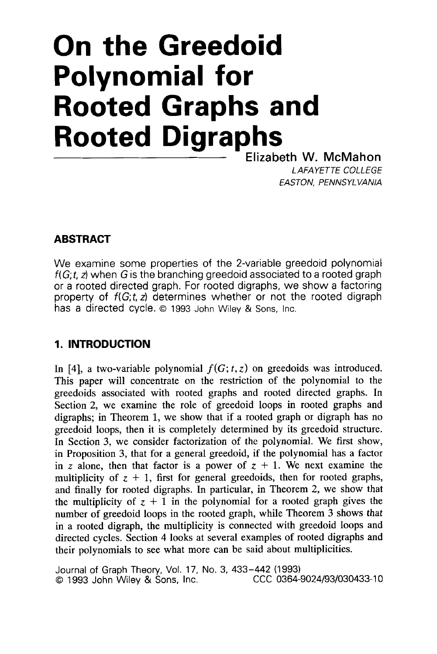# **On the Greedoid Polynomial for Rooted Graphs and Rooted Digraphs**

Elizabeth W. McMahon *LAFAYETTE COLLEGE EASTON, PENNSYLVANIA* 

## **ABSTRACT**

We examine some properties of the 2-variable greedoid polynomial *f(G;t, z)* when *G* is the branching greedoid associated to a rooted graph or a rooted directed graph. For rooted digraphs, we show a factoring property of  $f(G; t, z)$  determines whether or not the rooted digraph has a directed cycle. *0* 1993 John Wiley & Sons, Inc.

# **1. INTRODUCTION**

In [4], a two-variable polynomial  $f(G; t, z)$  on greedoids was introduced. This paper will concentrate on the restriction of the polynomial to the greedoids associated with rooted graphs and rooted directed graphs. In Section 2, we examine the role of greedoid loops in rooted graphs and digraphs; in Theorem 1, we show that if a rooted graph or digraph has no greedoid loops, then it is completely determined by its greedoid structure. In Section 3, we consider factorization of the polynomial. We first show, in Proposition *3,* that for a general greedoid, if the polynomial has a factor in *z* alone, then that factor is a power of  $z + 1$ . We next examine the multiplicity of  $z + 1$ , first for general greedoids, then for rooted graphs, and finally for rooted digraphs. In particular, in Theorem 2, we show that the multiplicity of  $z + 1$  in the polynomial for a rooted graph gives the number of greedoid loops in the rooted graph, while Theorem *3* shows **that**  in a rooted digraph, the multiplicity is connected with greedoid loops and directed cycles. Section 4 looks at several examples of rooted digraphs and their polynomials to see what more can be said about multiplicities.

Journal of Graph Theory, Vol. 17, No. 3, 433-442 (1993) *©* 1993 John Wiley & Sons, Inc.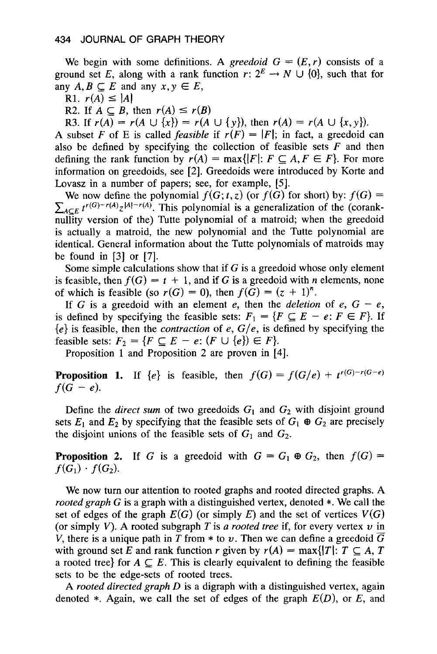We begin with some definitions. A *greedoid*  $G = (E, r)$  consists of a We begin with some definitions. A *greedoid*  $G = (E, r)$  consists of a ground set *E*, along with a rank function  $r: 2^E \rightarrow N \cup \{0\}$ , such that for any  $A, B \subseteq E$  and any  $x, y \in E$ ,<br>R1.  $r(A) \le |A|$ we begin with a<br>bund set E, alon<br>y A, B  $\subseteq$  E and<br>R1.  $r(A) \le |A|$ <br>R2. If  $A \subset R$ , then giangle set *E*, along with a rank function  $A, B \subseteq E$  and any  $x, y \in E$ ,<br>
R1.  $r(A) \le |A|$ <br>
R2. If  $A \subseteq B$ , then  $r(A) \le r(B)$ <br>
R3. If  $r(A) = r(A \cup \{x\}) = r(A)$ 

R3. If  $r(A) = r(A \cup \{x\}) = r(A \cup \{y\})$ , then  $r(A) = r(A \cup \{x, y\})$ .

A subset *F* of E is called *feasible* if  $r(F) = |F|$ ; in fact, a greedoid can also be defined by specifying the collection of feasible sets *F* and then defining the rank function by  $r(A) = \max\{|F|: F \subseteq A, F \in F\}$ . For more information on greedoids, see [2]. Greedoids were introduced by Korte and Lovasz in a number of papers; see, for example, [5].

We now define the polynomial  $f(G; t, z)$  (or  $f(G)$  for short) by:  $f(G)$  =  $\sum_{A \subset E} t^{r(G)-r(A)} z^{|A|-r(A)}$ . This polynomial is a generalization of the (coranknullity version of the) Tutte polynomial of a matroid; when the greedoid is actually a matroid, the new polynomial and the Tutte polynomial are identical. General information about the Tutte polynomials of matroids may be found in **[3]** or [7].

Some simple calculations show that if *G* is a greedoid whose only element is feasible, then  $f(G) = t + 1$ , and if G is a greedoid with *n* elements, none of which is feasible (so  $r(G) = 0$ ), then  $f(G) = (z + 1)^n$ .

If G is a greedoid with an element e, then the *deletion* of  $e$ ,  $G - e$ , is defined by specifying the feasible sets:  $F_1 = \{F \subseteq E - e: F \in F\}$ . If *{e}* is feasible, then the *contraction* of e, *G/e,* is defined by specifying the feasible sets:  $F_2 = \{F \subseteq E - e: (F \cup \{e\}) \in F\}.$ 

Proposition 1 and Proposition 2 are proven in [4].

**Proposition 1.** If  $\{e\}$  is feasible, then  $f(G) = f(G/e) + t^{r(G)-r(G-e)}$  $f(G - e)$ .

Define the *direct sum* of two greedoids  $G_1$  and  $G_2$  with disjoint ground sets  $E_1$  and  $E_2$  by specifying that the feasible sets of  $G_1 \oplus G_2$  are precisely the disjoint unions of the feasible sets of  $G_1$  and  $G_2$ .

**Proposition 2.** If G is a greedoid with  $G = G_1 \oplus G_2$ , then  $f(G) =$  $f(G_1) \cdot f(G_2)$ .

We now turn our attention to rooted graphs and rooted directed graphs. A *rooted graph G* is a graph with a distinguished vertex, denoted \*. We call the set of edges of the graph  $E(G)$  (or simply E) and the set of vertices  $V(G)$ (or simply  $V$ ). A rooted subgraph  $T$  is *a rooted tree* if, for every vertex  $v$  in *V*, there is a unique path in *T* from  $*$  to *v*. Then we can define a greedoid  $\overline{G}$ with ground set *E* and rank function *r* given by  $r(A) = \max\{|T|: T \subseteq A, T\}$ a rooted tree} for  $A \subseteq E$ . This is clearly equivalent to defining the feasible sets to be the edge-sets of rooted trees.

**A** *rooted directed graph D* **is** a digraph with a distinguished vertex, again denoted \*. Again, we call the set of edges of the graph *E(D),* or *E,* and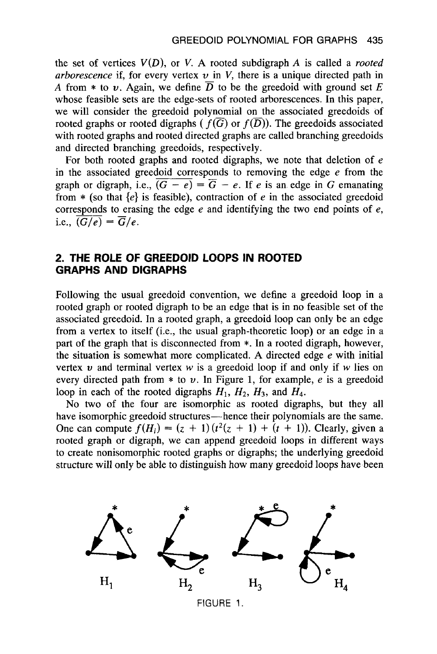the set of vertices  $V(D)$ , or V. A rooted subdigraph A is called a *rooted arborescence* if, for every vertex  $v$  in  $V$ , there is a unique directed path in A from  $*$  to *u*. Again, we define  $\overline{D}$  to be the greedoid with ground set *E* whose feasible sets are the edge-sets of rooted arborescences. In this paper, we will consider the greedoid polynomial on the associated greedoids of rooted graphs or rooted digraphs  $(f(\overline{G})$  or  $f(\overline{D}))$ . The greedoids associated with rooted graphs and rooted directed graphs are called branching greedoids and directed branching greedoids, respectively.

For both rooted graphs and rooted digraphs, we note that deletion of *e*  in the associated greedoid corresponds to removing the edge *e* from the graph or digraph, i.e.,  $\overline{(G - e)} = \overline{G} - e$ . If *e* is an edge in *G* emanating from  $*$  (so that  $\{e\}$  is feasible), contraction of *e* in the associated greedoid corresponds to erasing the edge *e* and identifying the two end points of *e,*  i.e.,  $\overline{\overline{(G/e)}} = \overline{G}/e$ .

## **2. THE ROLE OF GREEDOID LOOPS IN ROOTED GRAPHS AND DIGRAPHS**

Following the usual greedoid convention, we define a greedoid loop in a rooted graph or rooted digraph to be an edge that is in no feasible set of the associated greedoid. In a rooted graph, a greedoid loop can only be an edge from a vertex to itself (i.e., the usual graph-theoretic loop) or an edge in a part of the graph that is disconnected from \*. In a rooted digraph, however, the situation is somewhat more complicated. A directed edge *e* with initial vertex  $v$  and terminal vertex  $w$  is a greedoid loop if and only if  $w$  lies on every directed path from  $*$  to  $v$ . In Figure 1, for example,  $e$  is a greedoid loop in each of the rooted digraphs  $H_1$ ,  $H_2$ ,  $H_3$ , and  $H_4$ .

No two of the four are isomorphic as rooted digraphs, but they all have isomorphic greedoid structures—hence their polynomials are the same. One can compute  $f(H_i) = (z + 1)(t^2(z + 1) + (t + 1))$ . Clearly, given a rooted graph or digraph, we can append greedoid loops in different ways to create nonisomorphic rooted graphs or digraphs; the underlying greedoid structure will only be able to distinguish how many greedoid loops have been

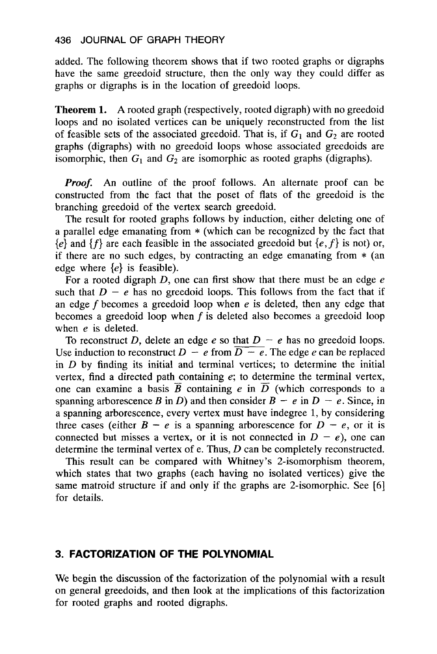added. The following theorem shows that if two rooted graphs or digraphs have the same greedoid structure, then the only way they could differ as graphs or digraphs is in the location of greedoid loops.

**Theorem 1.** A rooted graph (respectively, rooted digraph) with no greedoid loops and no isolated vertices can be uniquely reconstructed from the list of feasible sets of the associated greedoid. That is, if  $G_1$  and  $G_2$  are rooted graphs (digraphs) with no greedoid loops whose associated greedoids are isomorphic, then  $G_1$  and  $G_2$  are isomorphic as rooted graphs (digraphs).

*Proof.* An outline of the proof follows. An alternate proof can be constructed from the fact that the poset of flats of the greedoid is the branching greedoid of the vertex search greedoid.

The result for rooted graphs follows by induction, either deleting one of a parallel edge emanating from \* (which can be recognized by the fact that  ${e}$  and  ${f}$  are each feasible in the associated greedoid but  ${e, f}$  is not) or, if there are no such edges, by contracting an edge emanating from \* (an edge where *{e}* is feasible).

For a rooted digraph  $D$ , one can first show that there must be an edge  $e$ such that  $D - e$  has no greedoid loops. This follows from the fact that if an edge f becomes a greedoid loop when *e* is deleted, then any edge that becomes a greedoid loop when *f* is deleted also becomes a greedoid loop when e is deleted.

To reconstruct D, delete an edge  $e$  so that  $D - e$  has no greedoid loops. Use induction to reconstruct  $D - e$  from  $\overline{D - e}$ . The edge *e* can be replaced in  $D$  by finding its initial and terminal vertices; to determine the initial vertex, find a directed path containing *e;* to determine the terminal vertex, one can examine a basis  $\overline{B}$  containing *e* in  $\overline{D}$  (which corresponds to a spanning arborescence *B* in *D*) and then consider  $B - e$  in  $D - e$ . Since, in a spanning arborescence, every vertex must have indegree 1, by considering three cases (either  $B - e$  is a spanning arborescence for  $D - e$ , or it is connected but misses a vertex, or it is not connected in  $D - e$ ), one can determine the terminal vertex of e. Thus, *D* can be completely reconstructed.

This result can be compared with Whitney **'s** 2-isomorphism theorem, which states that two graphs (each having no isolated vertices) give the same matroid structure if and only if the graphs are 2-isomorphic. See **[6]**  for details.

#### **3. FACTORIZATION OF THE POLYNOMIAL**

We begin the discussion of the factorization of the polynomial with a result on general greedoids, and then **look** at the implications of this factorization for rooted graphs and rooted digraphs.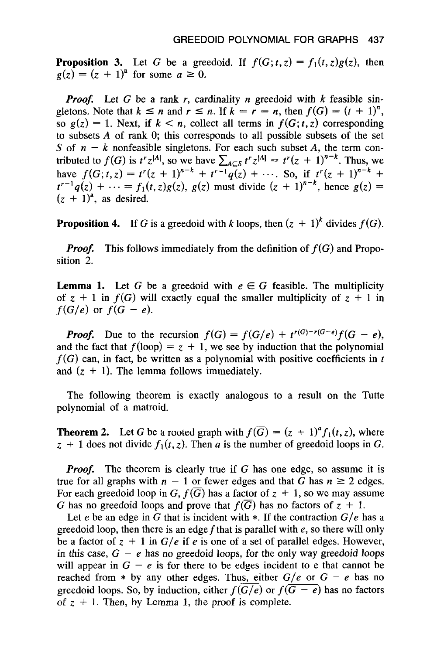**Proposition 3.** Let *G* be a greedoid. If  $f(G; t, z) = f_1(t, z)g(z)$ , then  $g(z) = (z + 1)^{2}$  for some  $a \ge 0$ .

*Proof.* Let *G* be a rank *r,* cardinality *n* greedoid with *k* feasible singletons. Note that  $k \leq n$  and  $r \leq n$ . If  $k = r = n$ , then  $f(G) = (t + 1)^n$ , so  $g(z) = 1$ . Next, if  $k < n$ , collect all terms in  $f(G; t, z)$  corresponding to subsets **A** of rank 0; this corresponds to all possible subsets of the set *S* of  $n - k$  nonfeasible singletons. For each such subset *A*, the term con-S of  $n - k$  nonteasible singletons. For each such subset A, the term contributed to  $f(G)$  is  $t^r z^{|A|}$ , so we have  $\sum_{A \subseteq S} t^r z^{|A|} = t^r (z + 1)^{n-k}$ . Thus, we have  $f(G; t, z) = t^{r}(z + 1)^{n-k} + t^{r-1}q(z) + \cdots$ . So, if  $t^{r}(z + 1)^{n-k}$  $t^{r-1}q(z) + \cdots = f_1(t, z)g(z), g(z)$  must divide  $(z + 1)^{n-k}$ , hence  $g(z) =$  $(z + 1)^{a}$ , as desired.

**Proposition 4.** If G is a greedoid with *k* loops, then  $(z + 1)^k$  divides  $f(G)$ .

*Proof.*  sition 2. This follows immediately from the definition of  $f(G)$  and Propo-

**Lemma 1.** Let *G* be a greedoid with  $e \in G$  feasible. The multiplicity of  $z + 1$  in  $f(G)$  will exactly equal the smaller multiplicity of  $z + 1$  in  $f(G/e)$  or  $f(G - e)$ .

*Proof.* Due to the recursion  $f(G) = f(G/e) + t^{r(G)-r(G-e)}f(G - e)$ , and the fact that  $f(100p) = z + 1$ , we see by induction that the polynomial  $f(G)$  can, in fact, be written as a polynomial with positive coefficients in  $t$ and  $(z + 1)$ . The lemma follows immediately.

The following theorem is exactly analogous to a result on the Tutte polynomial of a matroid.

**Theorem 2.** Let *G* be a rooted graph with  $f(\overline{G}) = (z + 1)^{a} f_1(t, z)$ , where  $z + 1$  does not divide  $f_1(t, z)$ . Then *a* is the number of greedoid loops in *G*.

*Proof.* The theorem is clearly true if G has one edge, so assume it is true for all graphs with  $n - 1$  or fewer edges and that *G* has  $n \ge 2$  edges. For each greedoid loop in G,  $f(\overline{G})$  has a factor of  $z + 1$ , so we may assume *G* has no greedoid loops and prove that  $f(\overline{G})$  has no factors of  $z + 1$ .

Let *e* be an edge in *G* that is incident with  $*$ . If the contraction  $G/e$  has a greedoid loop, then there is an edge fthat is parallel with *e,* so there will only be a factor of  $z + 1$  in  $G/e$  if *e* is one of a set of parallel edges. However, in this case,  $G - e$  has no greedoid loops, for the only way greedoid loops will appear in  $G - e$  is for there to be edges incident to e that cannot be reached from  $*$  by any other edges. Thus, either  $G/e$  or  $G - e$  has no greedoid loop, then there is an edge f that is parallel with e, so there will only<br>be a factor of  $z + 1$  in  $G/e$  if e is one of a set of parallel edges. However,<br>in this case,  $G - e$  has no greedoid loops, for the only way greedoid loops. So, by induction, either  $f(\overline{G/e})$  or  $f(\overline{G - e})$  has no factors of  $z + 1$ . Then, by Lemma 1, the proof is complete.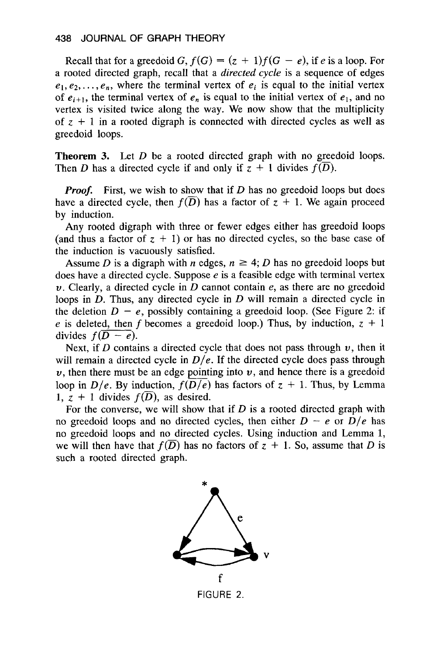Recall that for a greedoid *G*,  $f(G) = (z + 1)f(G - e)$ , if *e* is a loop. For a rooted directed graph, recall that a *directed cycle* is a sequence of edges  $e_1, e_2, \ldots, e_n$ , where the terminal vertex of  $e_i$  is equal to the initial vertex of  $e_{i+1}$ , the terminal vertex of  $e_n$  is equal to the initial vertex of  $e_1$ , and no vertex is visited twice along the way. We now show that the multiplicity of  $z + 1$  in a rooted digraph is connected with directed cycles as well as greedoid loops.

**Theorem 3.**  Let *D* be a rooted directed graph with no greedoid loops. Then *D* has a directed cycle if and only if  $z + 1$  divides  $f(\overline{D})$ .

*Proof.* First, we wish to show that if *D* has no greedoid loops but does have a directed cycle, then  $f(D)$  has a factor of  $z + 1$ . We again proceed by induction.

Any rooted digraph with three or fewer edges either has greedoid loops (and thus a factor of  $z + 1$ ) or has no directed cycles, so the base case of the induction is vacuously satisfied.

Assume *D* is a digraph with *n* edges,  $n \geq 4$ ; *D* has no greedoid loops but does have a directed cycle. Suppose *e* is a feasible edge with terminal vertex *u.* Clearly, a directed cycle in *D* cannot contain *e,* as there are no greedoid loops in *D.* Thus, any directed cycle in *D* will remain a directed cycle in the deletion  $D - e$ , possibly containing a greedoid loop. (See Figure 2: if *e* is deleted, then *f* becomes a greedoid loop.) Thus, by induction,  $z + 1$ divides  $f(D - e)$ .

Next, if *D* contains a directed cycle that does not pass through *u,* then it will remain a directed cycle in  $D/e$ . If the directed cycle does pass through *u* is deleted, then f becomes a greedoid loop.) Thus, by induction,  $z + 1$  divides  $f(D - e)$ .<br>
Next, if *D* contains a directed cycle that does not pass through *v*, then it will remain a directed cycle in  $D/e$ . If the dir 1,  $z + 1$  divides  $f(\overline{D})$ , as desired.

For the converse, we will show that if *D* is a rooted directed graph with no greedoid loops and no directed cycles, then either  $D - e$  or  $D/e$  has no greedoid loops and no directed cycles. Using induction and Lemma **1,**  we will then have that  $f(D)$  has no factors of  $z + 1$ . So, assume that *D* is such a rooted directed graph.



FIGURE 2.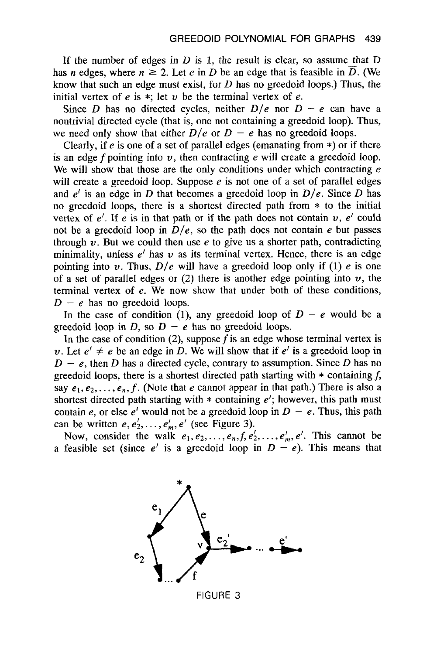If the number of edges in *D* is **1,** the result is clear, so assume that *D*  has *n* edges, where  $n \ge 2$ . Let *e* in *D* be an edge that is feasible in  $\overline{D}$ . (We know that such an edge must exist, for *D* has no greedoid loops.) Thus, the initial vertex of  $e$  is  $*$ ; let  $v$  be the terminal vertex of  $e$ .

Since *D* has no directed cycles, neither  $D/e$  nor  $D - e$  can have a nontrivial directed cycle (that is, one not containing a greedoid loop). Thus, we need only show that either  $D/e$  or  $D - e$  has no greedoid loops.

Clearly, if *e* is one of a set of parallel edges (emanating from \*) or if there is an edge  $f$  pointing into  $v$ , then contracting  $e$  will create a greedoid loop. We will show that those are the only conditions under which contracting *e*  will create a greedoid loop. Suppose *e* is not one of a set of parallel edges and  $e'$  is an edge in *D* that becomes a greedoid loop in  $D/e$ . Since *D* has no greedoid loops, there is a shortest directed path from \* to the initial vertex of  $e'$ . If  $e$  is in that path or if the path does not contain  $v$ ,  $e'$  could not be a greedoid loop in  $D/e$ , so the path does not contain  $e$  but passes through  $v$ . But we could then use  $e$  to give us a shorter path, contradicting minimality, unless  $e'$  has  $v$  as its terminal vertex. Hence, there is an edge pointing into *v*. Thus,  $D/e$  will have a greedoid loop only if (1) *e* is one of a set of parallel edges or  $(2)$  there is another edge pointing into  $v$ , the terminal vertex of *e.* We now show that under both of these conditions,  $D - e$  has no greedoid loops.

In the case of condition (1), any greedoid loop of  $D - e$  would be a greedoid loop in *D*, so  $D - e$  has no greedoid loops.

In the case of condition (2), suppose *f* is an edge whose terminal vertex is *u*. Let  $e' \neq e$  be an edge in *D*. We will show that if  $e'$  is a greedoid loop in  $D - e$ , then *D* has a directed cycle, contrary to assumption. Since *D* has no greedoid loops, there is a shortest directed path starting with \* containing *f,*  say  $e_1, e_2, \ldots, e_n, f$ . (Note that *e* cannot appear in that path.) There is also a shortest directed path starting with \* containing *e';* however, this path must contain *e*, or else  $e^{t}$  would not be a greedoid loop in  $D - e$ . Thus, this path can be written  $e, e'_1, \ldots, e'_m, e'$  (see Figure 3).

Now, consider the walk  $e_1, e_2, \ldots, e_n, f, e'_2, \ldots, e'_m, e'$ . This cannot be a feasible set (since  $e'$  is a greedoid loop in  $D - e$ ). This means that



FIGURE **3**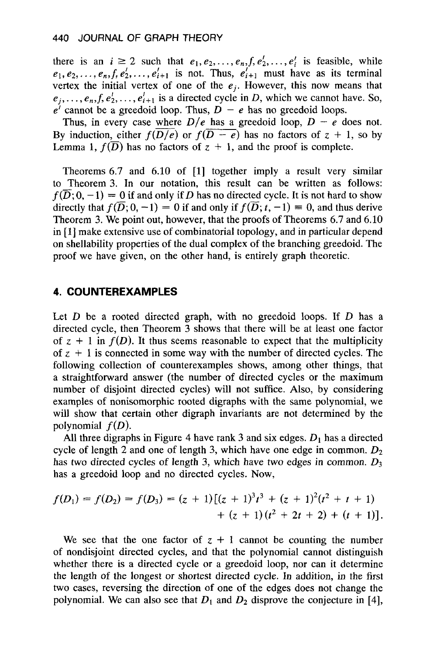there is an  $i \ge 2$  such that  $e_1, e_2, \ldots, e_n, f, e'_2, \ldots, e'_i$  is feasible, while  $e_1, e_2, \ldots, e_n, f, e'_2, \ldots, e'_{i+1}$  is not. Thus,  $e'_{i+1}$  must have as its terminal vertex the initial vertex of one of the  $e_i$ . However, this now means that  $e_j, \ldots, e_n, f, e'_2, \ldots, e'_{i+1}$  is a directed cycle in D, which we cannot have. So,  $e^{i}$  cannot be a greedoid loop. Thus,  $D - e$  has no greedoid loops.

Thus, in every case where  $D/e$  has a greedoid loop,  $D - e$  does not. By induction, either  $f(D/\overline{e})$  or  $f(D - e)$  has no factors of  $z + 1$ , so by Lemma 1,  $f(\overline{D})$  has no factors of  $z + 1$ , and the proof is complete.

Theorems **6.7** and **6.10** of **[l]** together imply a result very similar to Theorem **3.** In our notation, this result can be written as follows:  $f(\overline{D}; 0, -1) = 0$  if and only if D has no directed cycle. It is not hard to show directly that  $f(\overline{D}; 0, -1) = 0$  if and only if  $f(\overline{D}; t, -1) = 0$ , and thus derive Theorem **3.** We point out, however, that the proofs of Theorems **6.7** and **6.10**  in [1] make extensive use of combinatorial topology, and in particular depend on shellability properties of the dual complex of the branching greedoid. The proof we have given, on the other hand, is entirely graph theoretic.

## **4. COUNTEREXAMPLES**

Let  $D$  be a rooted directed graph, with no greedoid loops. If  $D$  has a directed cycle, then Theorem **3** shows that there will be at least one factor of  $z + 1$  in  $f(D)$ . It thus seems reasonable to expect that the multiplicity of  $z + 1$  is connected in some way with the number of directed cycles. The following collection of counterexamples shows, among other things, that a straightforward answer (the number of directed cycles or the maximum number of disjoint directed cycles) will not suffice. Also, by considering examples of nonisomorphic rooted digraphs with the same polynomial, we will show that certain other digraph invariants are not determined by the polynomial *f(D).* 

All three digraphs in Figure 4 have rank 3 and six edges.  $D_1$  has a directed cycle of length 2 and one of length **3,** which have one edge in common. *D2*  has two directed cycles of length **3,** which have two edges in common. *D3*  has a greedoid loop and no directed cycles. Now,

$$
f(D_1) = f(D_2) = f(D_3) = (z + 1)[(z + 1)^3t^3 + (z + 1)^2(t^2 + t + 1) + (z + 1)(t^2 + 2t + 2) + (t + 1)].
$$

We see that the one factor of  $z + 1$  cannot be counting the number of nondisjoint directed cycles, and that the polynomial cannot distinguish whether there is a directed cycle or a greedoid loop, nor can it determine the length of the longest or shortest directed cycle. In addition, in the first two cases, reversing the direction of one of the edges does not change the polynomial. We can also see that  $D_1$  and  $D_2$  disprove the conjecture in [4],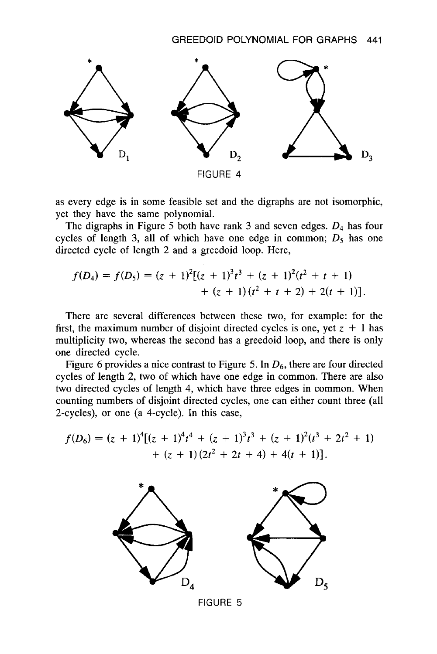

as every edge is in some feasible set and the digraphs are not isomorphic, yet they have the same polynomial.

The digraphs in Figure *5* both have rank **3** and seven edges. *04* has four cycles of length 3, all of which have one edge in common;  $D_5$  has one directed cycle of length 2 and a greedoid loop. Here,

$$
f(D_4) = f(D_5) = (z + 1)^2 [(z + 1)^3 t^3 + (z + 1)^2 (t^2 + t + 1)
$$
  
+ (z + 1) (t<sup>2</sup> + t + 2) + 2(t + 1)].

There are several differences between these two, for example: for the first, the maximum number of disjoint directed cycles is one, yet  $z + 1$  has multiplicity two, whereas the second has a greedoid loop, and there is only one directed cycle.

Figure *6* provides a nice contrast to Figure *5.* In *Dg,* there are four directed cycles of length 2, two of which have one edge in common. There are also two directed cycles of length 4, which have three edges in common. When counting numbers of disjoint directed cycles, one can either count three (all 2-cycles), or one (a 4-cycle). In this case,

$$
f(D_6) = (z + 1)^4[(z + 1)^4t^4 + (z + 1)^3t^3 + (z + 1)^2(t^3 + 2t^2 + 1) + (z + 1)(2t^2 + 2t + 4) + 4(t + 1)].
$$



FIGURE 5